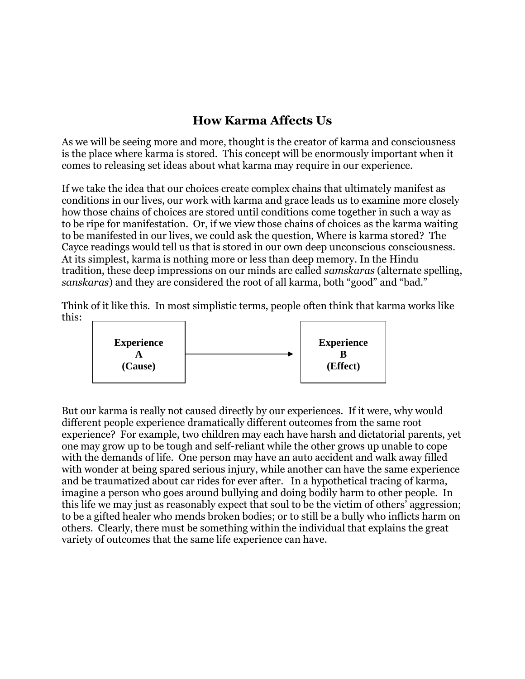## **How Karma Affects Us**

As we will be seeing more and more, thought is the creator of karma and consciousness is the place where karma is stored. This concept will be enormously important when it comes to releasing set ideas about what karma may require in our experience.

If we take the idea that our choices create complex chains that ultimately manifest as conditions in our lives, our work with karma and grace leads us to examine more closely how those chains of choices are stored until conditions come together in such a way as to be ripe for manifestation. Or, if we view those chains of choices as the karma waiting to be manifested in our lives, we could ask the question, Where is karma stored? The Cayce readings would tell us that is stored in our own deep unconscious consciousness. At its simplest, karma is nothing more or less than deep memory. In the Hindu tradition, these deep impressions on our minds are called *samskaras* (alternate spelling, *sanskaras*) and they are considered the root of all karma, both "good" and "bad."

Think of it like this. In most simplistic terms, people often think that karma works like this:



But our karma is really not caused directly by our experiences. If it were, why would different people experience dramatically different outcomes from the same root experience? For example, two children may each have harsh and dictatorial parents, yet one may grow up to be tough and self-reliant while the other grows up unable to cope with the demands of life. One person may have an auto accident and walk away filled with wonder at being spared serious injury, while another can have the same experience and be traumatized about car rides for ever after. In a hypothetical tracing of karma, imagine a person who goes around bullying and doing bodily harm to other people. In this life we may just as reasonably expect that soul to be the victim of others' aggression; to be a gifted healer who mends broken bodies; or to still be a bully who inflicts harm on others. Clearly, there must be something within the individual that explains the great variety of outcomes that the same life experience can have.